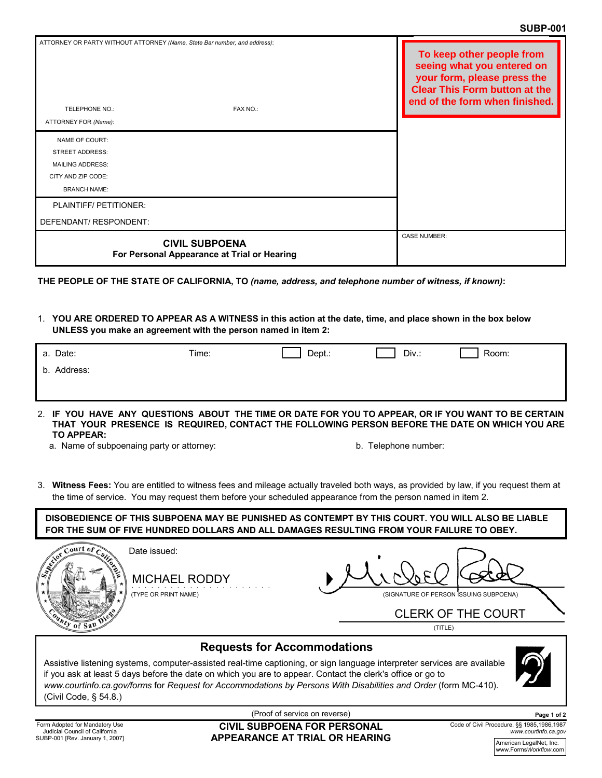|                                                                                                                  | ATTORNEY OR PARTY WITHOUT ATTORNEY (Name, State Bar number, and address): | To keep other people from<br>seeing what you entered on<br>your form, please press the<br><b>Clear This Form button at the</b><br>end of the form when finished. |
|------------------------------------------------------------------------------------------------------------------|---------------------------------------------------------------------------|------------------------------------------------------------------------------------------------------------------------------------------------------------------|
| TELEPHONE NO.:                                                                                                   | <b>FAX NO.:</b>                                                           |                                                                                                                                                                  |
| ATTORNEY FOR (Name):                                                                                             |                                                                           |                                                                                                                                                                  |
| NAME OF COURT:<br><b>STREET ADDRESS:</b><br><b>MAILING ADDRESS:</b><br>CITY AND ZIP CODE:<br><b>BRANCH NAME:</b> |                                                                           |                                                                                                                                                                  |
| PLAINTIFF/ PETITIONER:                                                                                           |                                                                           |                                                                                                                                                                  |
| DEFENDANT/ RESPONDENT:                                                                                           |                                                                           |                                                                                                                                                                  |
|                                                                                                                  | <b>CIVIL SUBPOENA</b><br>For Personal Appearance at Trial or Hearing      | <b>CASE NUMBER:</b>                                                                                                                                              |

**THE PEOPLE OF THE STATE OF CALIFORNIA, TO** *(name, address, and telephone number of witness, if known)***:**

1. **YOU ARE ORDERED TO APPEAR AS A WITNESS in this action at the date, time, and place shown in the box below UNLESS you make an agreement with the person named in item 2:**

| a. Date:    | Time: | Dept.: | Div.: | Room: |
|-------------|-------|--------|-------|-------|
| b. Address: |       |        |       |       |
|             |       |        |       |       |

2. **IF YOU HAVE ANY QUESTIONS ABOUT THE TIME OR DATE FOR YOU TO APPEAR, OR IF YOU WANT TO BE CERTAIN THAT YOUR PRESENCE IS REQUIRED, CONTACT THE FOLLOWING PERSON BEFORE THE DATE ON WHICH YOU ARE TO APPEAR:**

a. Name of subpoenaing party or attorney: b. Telephone number:

- 
- 3. **Witness Fees:** You are entitled to witness fees and mileage actually traveled both ways, as provided by law, if you request them at the time of service. You may request them before your scheduled appearance from the person named in item 2.

**DISOBEDIENCE OF THIS SUBPOENA MAY BE PUNISHED AS CONTEMPT BY THIS COURT. YOU WILL ALSO BE LIABLE FOR THE SUM OF FIVE HUNDRED DOLLARS AND ALL DAMAGES RESULTING FROM YOUR FAILURE TO OBEY.**



(TYPE OR PRINT NAME)

(SIGNATURE OF PERSON ISSUING SUBPOENA) MICHAEL RODDY<br>
(SIGNATURE OF PERSON ISSUING SUBPOENA)<br>
CLERK OF THE COURT

(TITLE)

## **Requests for Accommodations**

Assistive listening systems, computer-assisted real-time captioning, or sign language interpreter services are available if you ask at least 5 days before the date on which you are to appear. Contact the clerk's office or go to *www.courtinfo.ca.gov/forms* for *Request for Accommodations by Persons With Disabilities and Order* (form MC-410). (Civil Code, § 54.8.)



(Proof of service on reverse) **CIVIL SUBPOENA FOR PERSONAL** 

**APPEARANCE AT TRIAL OR HEARING**

Code of Civil Procedure, §§ 1985,1986,1987 *www.courtinfo.ca.gov* **Page 1 of 2**